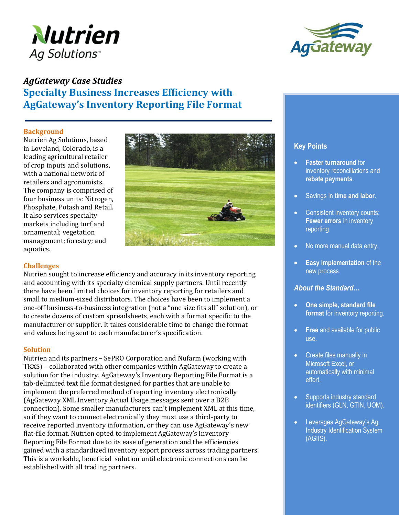



# *AgGateway Case Studies*  **Specialty Business Increases Efficiency with AgGateway's Inventory Reporting File Format**

### **Background**

Nutrien Ag Solutions, based in Loveland, Colorado, is a leading agricultural retailer of crop inputs and solutions, with a national network of retailers and agronomists. The company is comprised of four business units: Nitrogen, Phosphate, Potash and Retail. It also services specialty markets including turf and ornamental; vegetation management; forestry; and aquatics.



## **Challenges**

Nutrien sought to increase efficiency and accuracy in its inventory reporting and accounting with its specialty chemical supply partners. Until recently there have been limited choices for inventory reporting for retailers and small to medium-sized distributors. The choices have been to implement a one-off business-to-business integration (not a "one size fits all" solution), or to create dozens of custom spreadsheets, each with a format specific to the manufacturer or supplier. It takes considerable time to change the format and values being sent to each manufacturer's specification.

### **Solution**

Nutrien and its partners – SePRO Corporation and Nufarm (working with TKXS) – collaborated with other companies within AgGateway to create a solution for the industry. AgGateway's Inventory Reporting File Format is a tab-delimited text file format designed for parties that are unable to implement the preferred method of reporting inventory electronically (AgGateway XML Inventory Actual Usage messages sent over a B2B connection). Some smaller manufacturers can't implement XML at this time, so if they want to connect electronically they must use a third-party to receive reported inventory information, or they can use AgGateway's new flat-file format. Nutrien opted to implement AgGateway's Inventory Reporting File Format due to its ease of generation and the efficiencies gained with a standardized inventory export process across trading partners. This is a workable, beneficial solution until electronic connections can be established with all trading partners.

# **Key Points**

- **Faster turnaround** for inventory reconciliations and **rebate payments**.
- Savings in **time and labor**.
- Consistent inventory counts: **Fewer errors** in inventory reporting.
- No more manual data entry.
- **Easy implementation** of the new process.

### *About the Standard…*

- **One simple, standard file format** for inventory reporting.
- **Free** and available for public use.
- Create files manually in Microsoft Excel, or automatically with minimal effort.
- Supports industry standard identifiers (GLN, GTIN, UOM).
- Leverages AgGateway's Ag Industry Identification System (AGIIS).